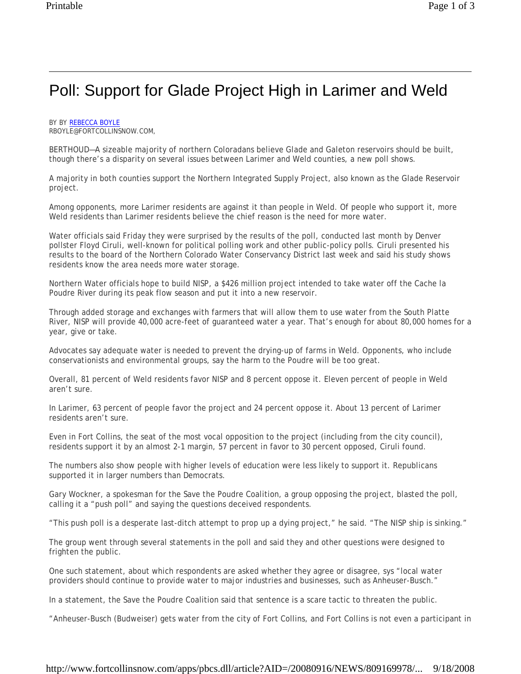## Poll: Support for Glade Project High in Larimer and Weld

BY BY REBECCA BOYLE RBOYLE@FORTCOLLINSNOW.COM,

BERTHOUD—A sizeable majority of northern Coloradans believe Glade and Galeton reservoirs should be built, though there's a disparity on several issues between Larimer and Weld counties, a new poll shows.

A majority in both counties support the Northern Integrated Supply Project, also known as the Glade Reservoir project.

Among opponents, more Larimer residents are against it than people in Weld. Of people who support it, more Weld residents than Larimer residents believe the chief reason is the need for more water.

Water officials said Friday they were surprised by the results of the poll, conducted last month by Denver pollster Floyd Ciruli, well-known for political polling work and other public-policy polls. Ciruli presented his results to the board of the Northern Colorado Water Conservancy District last week and said his study shows residents know the area needs more water storage.

Northern Water officials hope to build NISP, a \$426 million project intended to take water off the Cache la Poudre River during its peak flow season and put it into a new reservoir.

Through added storage and exchanges with farmers that will allow them to use water from the South Platte River, NISP will provide 40,000 acre-feet of guaranteed water a year. That's enough for about 80,000 homes for a year, give or take.

Advocates say adequate water is needed to prevent the drying-up of farms in Weld. Opponents, who include conservationists and environmental groups, say the harm to the Poudre will be too great.

Overall, 81 percent of Weld residents favor NISP and 8 percent oppose it. Eleven percent of people in Weld aren't sure.

In Larimer, 63 percent of people favor the project and 24 percent oppose it. About 13 percent of Larimer residents aren't sure.

Even in Fort Collins, the seat of the most vocal opposition to the project (including from the city council), residents support it by an almost 2-1 margin, 57 percent in favor to 30 percent opposed, Ciruli found.

The numbers also show people with higher levels of education were less likely to support it. Republicans supported it in larger numbers than Democrats.

Gary Wockner, a spokesman for the Save the Poudre Coalition, a group opposing the project, blasted the poll, calling it a "push poll" and saying the questions deceived respondents.

"This push poll is a desperate last-ditch attempt to prop up a dying project," he said. "The NISP ship is sinking."

The group went through several statements in the poll and said they and other questions were designed to frighten the public.

One such statement, about which respondents are asked whether they agree or disagree, sys "local water providers should continue to provide water to major industries and businesses, such as Anheuser-Busch."

In a statement, the Save the Poudre Coalition said that sentence is a scare tactic to threaten the public.

"Anheuser-Busch (Budweiser) gets water from the city of Fort Collins, and Fort Collins is not even a participant in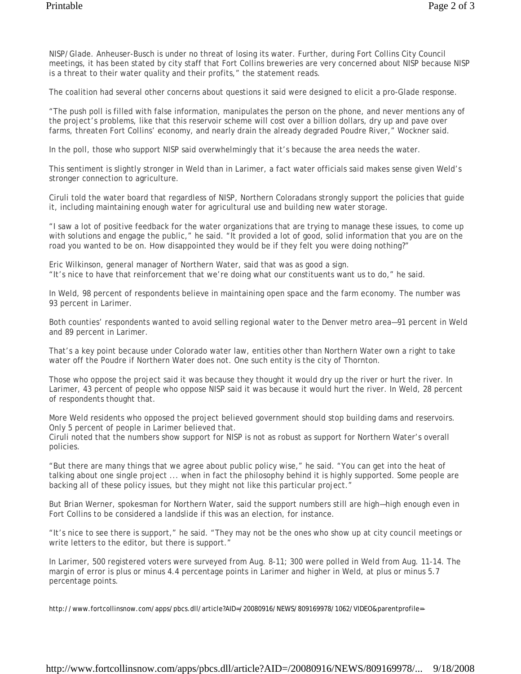NISP/Glade. Anheuser-Busch is under no threat of losing its water. Further, during Fort Collins City Council meetings, it has been stated by city staff that Fort Collins breweries are very concerned about NISP because NISP is a threat to their water quality and their profits," the statement reads.

The coalition had several other concerns about questions it said were designed to elicit a pro-Glade response.

"The push poll is filled with false information, manipulates the person on the phone, and never mentions any of the project's problems, like that this reservoir scheme will cost over a billion dollars, dry up and pave over farms, threaten Fort Collins' economy, and nearly drain the already degraded Poudre River," Wockner said.

In the poll, those who support NISP said overwhelmingly that it's because the area needs the water.

This sentiment is slightly stronger in Weld than in Larimer, a fact water officials said makes sense given Weld's stronger connection to agriculture.

Ciruli told the water board that regardless of NISP, Northern Coloradans strongly support the policies that guide it, including maintaining enough water for agricultural use and building new water storage.

"I saw a lot of positive feedback for the water organizations that are trying to manage these issues, to come up with solutions and engage the public," he said. "It provided a lot of good, solid information that you are on the road you wanted to be on. How disappointed they would be if they felt you were doing nothing?"

Eric Wilkinson, general manager of Northern Water, said that was as good a sign. "It's nice to have that reinforcement that we're doing what our constituents want us to do," he said.

In Weld, 98 percent of respondents believe in maintaining open space and the farm economy. The number was 93 percent in Larimer.

Both counties' respondents wanted to avoid selling regional water to the Denver metro area—91 percent in Weld and 89 percent in Larimer.

That's a key point because under Colorado water law, entities other than Northern Water own a right to take water off the Poudre if Northern Water does not. One such entity is the city of Thornton.

Those who oppose the project said it was because they thought it would dry up the river or hurt the river. In Larimer, 43 percent of people who oppose NISP said it was because it would hurt the river. In Weld, 28 percent of respondents thought that.

More Weld residents who opposed the project believed government should stop building dams and reservoirs. Only 5 percent of people in Larimer believed that.

Ciruli noted that the numbers show support for NISP is not as robust as support for Northern Water's overall policies.

"But there are many things that we agree about public policy wise," he said. "You can get into the heat of talking about one single project ... when in fact the philosophy behind it is highly supported. Some people are backing all of these policy issues, but they might not like this particular project."

But Brian Werner, spokesman for Northern Water, said the support numbers still are high—high enough even in Fort Collins to be considered a landslide if this was an election, for instance.

"It's nice to see there is support," he said. "They may not be the ones who show up at city council meetings or write letters to the editor, but there is support."

In Larimer, 500 registered voters were surveyed from Aug. 8-11; 300 were polled in Weld from Aug. 11-14. The margin of error is plus or minus 4.4 percentage points in Larimer and higher in Weld, at plus or minus 5.7 percentage points.

http://www.fortcollinsnow.com/apps/pbcs.dll/article?AID=/20080916/NEWS/809169978/1062/VIDEO&parentprofile=-